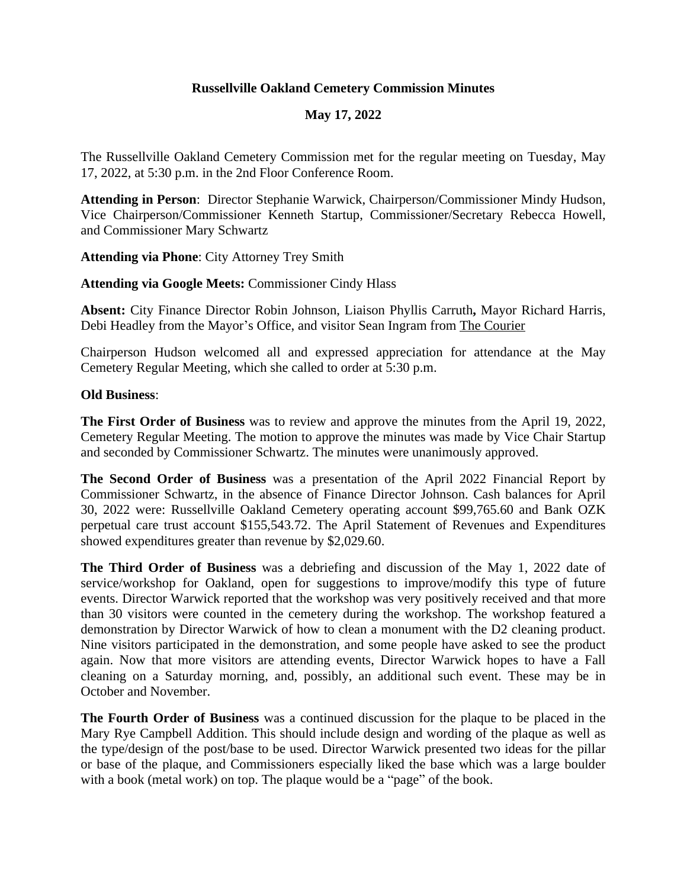## **Russellville Oakland Cemetery Commission Minutes**

## **May 17, 2022**

The Russellville Oakland Cemetery Commission met for the regular meeting on Tuesday, May 17, 2022, at 5:30 p.m. in the 2nd Floor Conference Room.

**Attending in Person**: Director Stephanie Warwick, Chairperson/Commissioner Mindy Hudson, Vice Chairperson/Commissioner Kenneth Startup, Commissioner/Secretary Rebecca Howell, and Commissioner Mary Schwartz

**Attending via Phone**: City Attorney Trey Smith

**Attending via Google Meets:** Commissioner Cindy Hlass

**Absent:** City Finance Director Robin Johnson, Liaison Phyllis Carruth**,** Mayor Richard Harris, Debi Headley from the Mayor's Office, and visitor Sean Ingram from The Courier

Chairperson Hudson welcomed all and expressed appreciation for attendance at the May Cemetery Regular Meeting, which she called to order at 5:30 p.m.

## **Old Business**:

**The First Order of Business** was to review and approve the minutes from the April 19, 2022, Cemetery Regular Meeting. The motion to approve the minutes was made by Vice Chair Startup and seconded by Commissioner Schwartz. The minutes were unanimously approved.

**The Second Order of Business** was a presentation of the April 2022 Financial Report by Commissioner Schwartz, in the absence of Finance Director Johnson. Cash balances for April 30, 2022 were: Russellville Oakland Cemetery operating account \$99,765.60 and Bank OZK perpetual care trust account \$155,543.72. The April Statement of Revenues and Expenditures showed expenditures greater than revenue by \$2,029.60.

**The Third Order of Business** was a debriefing and discussion of the May 1, 2022 date of service/workshop for Oakland, open for suggestions to improve/modify this type of future events. Director Warwick reported that the workshop was very positively received and that more than 30 visitors were counted in the cemetery during the workshop. The workshop featured a demonstration by Director Warwick of how to clean a monument with the D2 cleaning product. Nine visitors participated in the demonstration, and some people have asked to see the product again. Now that more visitors are attending events, Director Warwick hopes to have a Fall cleaning on a Saturday morning, and, possibly, an additional such event. These may be in October and November.

**The Fourth Order of Business** was a continued discussion for the plaque to be placed in the Mary Rye Campbell Addition. This should include design and wording of the plaque as well as the type/design of the post/base to be used. Director Warwick presented two ideas for the pillar or base of the plaque, and Commissioners especially liked the base which was a large boulder with a book (metal work) on top. The plaque would be a "page" of the book.